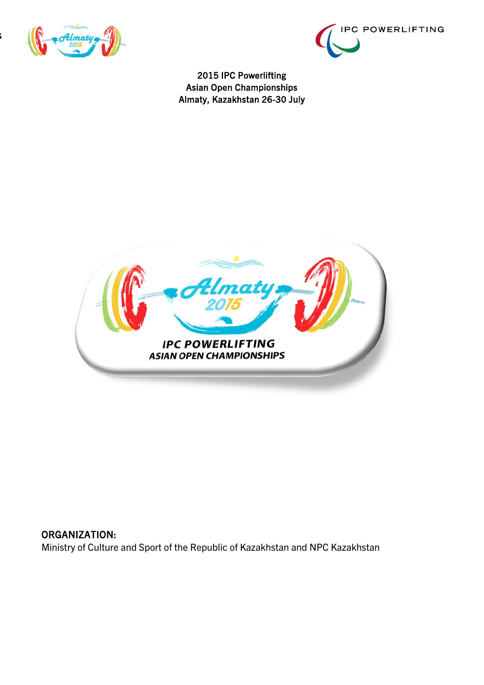





## ORGANIZATION: Ministry of Culture and Sport of the Republic of Kazakhstan and NPC Kazakhstan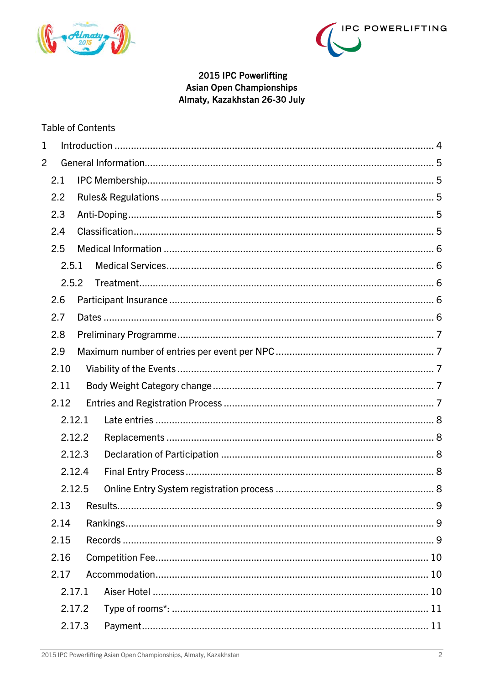



#### **Table of Contents**

| 1              |       |        |  |
|----------------|-------|--------|--|
| $\overline{2}$ |       |        |  |
|                | 2.1   |        |  |
|                | 2.2   |        |  |
|                | 2.3   |        |  |
|                | 2.4   |        |  |
|                | 2.5   |        |  |
|                | 2.5.1 |        |  |
|                | 2.5.2 |        |  |
|                | 2.6   |        |  |
|                | 2.7   |        |  |
|                | 2.8   |        |  |
|                | 2.9   |        |  |
|                | 2.10  |        |  |
|                | 2.11  |        |  |
|                | 2.12  |        |  |
|                |       | 2.12.1 |  |
|                |       | 2.12.2 |  |
|                |       | 2.12.3 |  |
|                |       | 2.12.4 |  |
|                |       | 2.12.5 |  |
|                |       |        |  |
|                | 2.14  |        |  |
|                | 2.15  |        |  |
|                | 2.16  |        |  |
|                | 2.17  |        |  |
|                |       | 2.17.1 |  |
|                |       | 2.17.2 |  |
|                |       | 2.17.3 |  |
|                |       |        |  |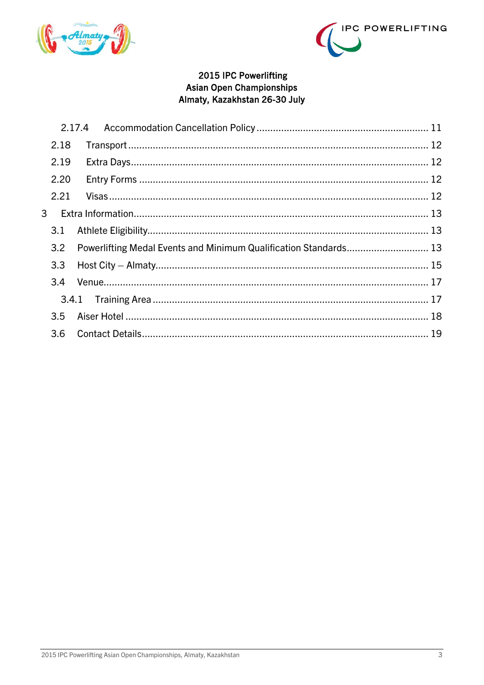



| 2.18 |                |                                                                  |
|------|----------------|------------------------------------------------------------------|
| 2.19 |                |                                                                  |
| 2.20 |                |                                                                  |
| 2.21 |                |                                                                  |
|      |                |                                                                  |
| 3.1  |                |                                                                  |
| 3.2  |                |                                                                  |
| 3.3  |                |                                                                  |
| 3.4  |                |                                                                  |
|      |                |                                                                  |
| 3.5  |                |                                                                  |
|      |                |                                                                  |
|      | 3 <sup>1</sup> | Powerlifting Medal Events and Minimum Qualification Standards 13 |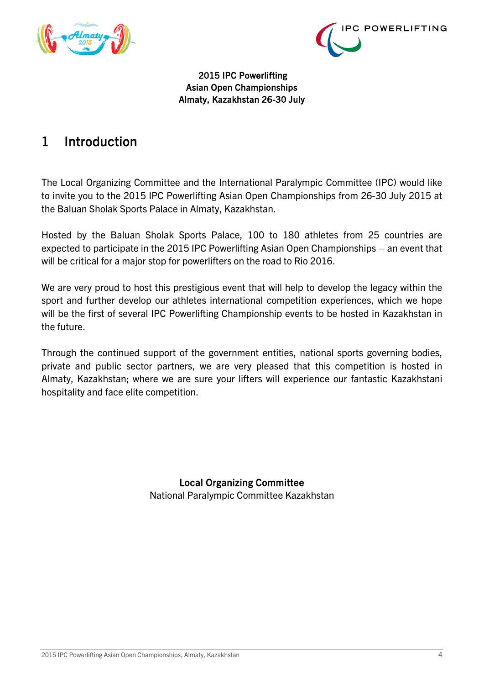



# <span id="page-3-0"></span>1 Introduction

The Local Organizing Committee and the International Paralympic Committee (IPC) would like to invite you to the 2015 IPC Powerlifting Asian Open Championships from 26-30 July 2015 at the Baluan Sholak Sports Palace in Almaty, Kazakhstan.

Hosted by the Baluan Sholak Sports Palace, 100 to 180 athletes from 25 countries are expected to participate in the 2015 IPC Powerlifting Asian Open Championships – an event that will be critical for a major stop for powerlifters on the road to Rio 2016.

We are very proud to host this prestigious event that will help to develop the legacy within the sport and further develop our athletes international competition experiences, which we hope will be the first of several IPC Powerlifting Championship events to be hosted in Kazakhstan in the future.

Through the continued support of the government entities, national sports governing bodies, private and public sector partners, we are very pleased that this competition is hosted in Almaty, Kazakhstan; where we are sure your lifters will experience our fantastic Kazakhstani hospitality and face elite competition.

> Local Organizing Committee National Paralympic Committee Kazakhstan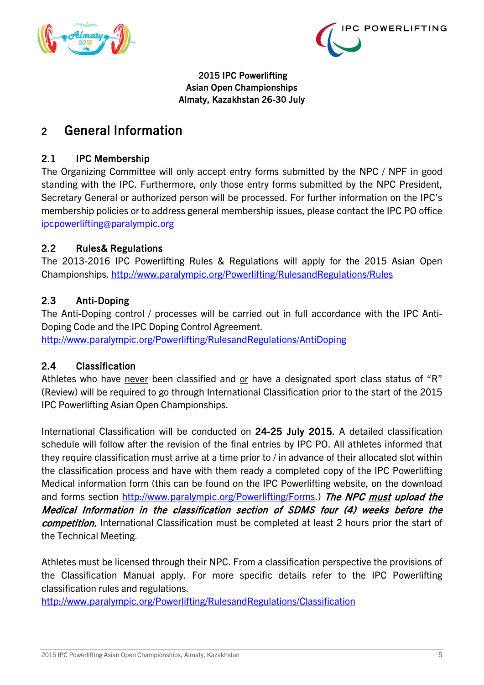



# <span id="page-4-0"></span>2 General Information

## <span id="page-4-1"></span>2.1 IPC Membership

The Organizing Committee will only accept entry forms submitted by the NPC / NPF in good standing with the IPC. Furthermore, only those entry forms submitted by the NPC President, Secretary General or authorized person will be processed. For further information on the IPC's membership policies or to address general membership issues, please contact the IPC PO office ipcpowerlifting@paralympic.org

## <span id="page-4-2"></span>2.2 Rules& Regulations

The 2013-2016 IPC Powerlifting Rules & Regulations will apply for the 2015 Asian Open Championships. http://www.paralympic.org/Powerlifting/RulesandRegulations/Rules

## <span id="page-4-3"></span>2.3 Anti-Doping

The Anti-Doping control / processes will be carried out in full accordance with the IPC Anti-Doping Code and the IPC Doping Control Agreement.

http://www.paralympic.org/Powerlifting/RulesandRegulations/AntiDoping

## <span id="page-4-4"></span>2.4 Classification

Athletes who have never been classified and or have a designated sport class status of "R" (Review) will be required to go through International Classification prior to the start of the 2015 IPC Powerlifting Asian Open Championships.

International Classification will be conducted on 24-25 July 2015. A detailed classification schedule will follow after the revision of the final entries by IPC PO. All athletes informed that they require classification must arrive at a time prior to / in advance of their allocated slot within the classification process and have with them ready a completed copy of the IPC Powerlifting Medical information form (this can be found on the IPC Powerlifting website, on the download and forms section http://www.paralympic.org/Powerlifting/Forms.) The NPC must upload the Medical Information in the classification section of SDMS four (4) weeks before the competition. International Classification must be completed at least 2 hours prior the start of the Technical Meeting.

Athletes must be licensed through their NPC. From a classification perspective the provisions of the Classification Manual apply. For more specific details refer to the IPC Powerlifting classification rules and regulations.

<http://www.paralympic.org/Powerlifting/RulesandRegulations/Classification>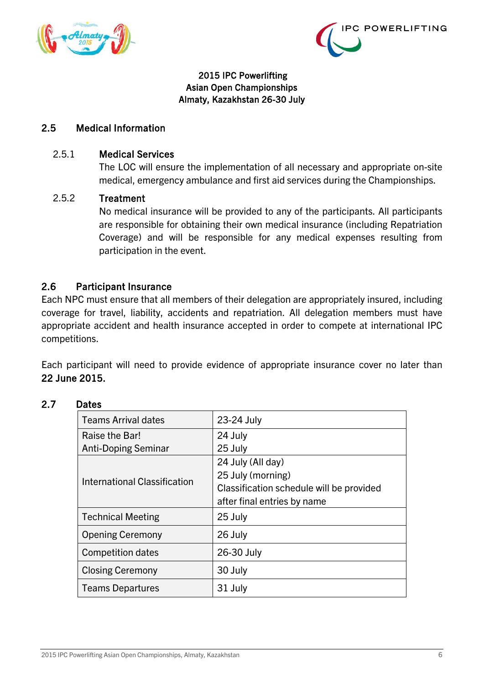



#### <span id="page-5-0"></span>2.5 Medical Information

#### <span id="page-5-1"></span>2.5.1 Medical Services

The LOC will ensure the implementation of all necessary and appropriate on-site medical, emergency ambulance and first aid services during the Championships.

#### <span id="page-5-2"></span>2.5.2 Treatment

No medical insurance will be provided to any of the participants. All participants are responsible for obtaining their own medical insurance (including Repatriation Coverage) and will be responsible for any medical expenses resulting from participation in the event.

#### <span id="page-5-3"></span>2.6 Participant Insurance

Each NPC must ensure that all members of their delegation are appropriately insured, including coverage for travel, liability, accidents and repatriation. All delegation members must have appropriate accident and health insurance accepted in order to compete at international IPC competitions.

Each participant will need to provide evidence of appropriate insurance cover no later than 22 June 2015.

| <b>Teams Arrival dates</b>   | 23-24 July                               |
|------------------------------|------------------------------------------|
| Raise the Bar!               | 24 July                                  |
| <b>Anti-Doping Seminar</b>   | 25 July                                  |
|                              | 24 July (All day)                        |
| International Classification | 25 July (morning)                        |
|                              | Classification schedule will be provided |
|                              | after final entries by name              |
| <b>Technical Meeting</b>     | 25 July                                  |
| <b>Opening Ceremony</b>      | 26 July                                  |
| <b>Competition dates</b>     | 26-30 July                               |
| <b>Closing Ceremony</b>      | 30 July                                  |
| <b>Teams Departures</b>      | 31 July                                  |

#### <span id="page-5-4"></span>2.7 Dates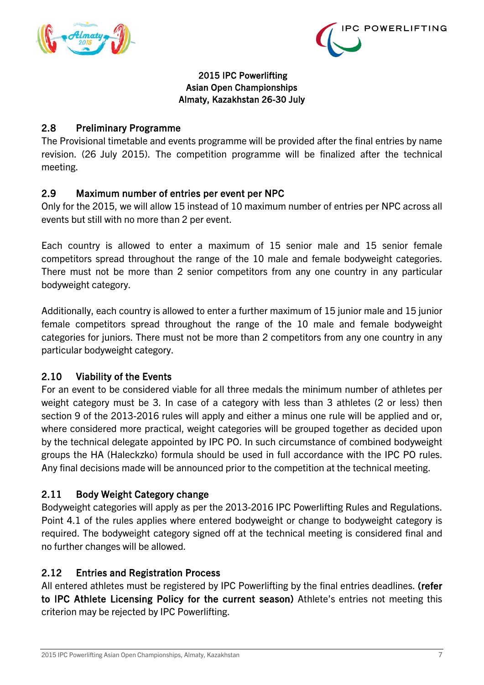



## <span id="page-6-0"></span>2.8 Preliminary Programme

The Provisional timetable and events programme will be provided after the final entries by name revision. (26 July 2015). The competition programme will be finalized after the technical meeting.

## <span id="page-6-1"></span>2.9 Maximum number of entries per event per NPC

Only for the 2015, we will allow 15 instead of 10 maximum number of entries per NPC across all events but still with no more than 2 per event.

Each country is allowed to enter a maximum of 15 senior male and 15 senior female competitors spread throughout the range of the 10 male and female bodyweight categories. There must not be more than 2 senior competitors from any one country in any particular bodyweight category.

Additionally, each country is allowed to enter a further maximum of 15 junior male and 15 junior female competitors spread throughout the range of the 10 male and female bodyweight categories for juniors. There must not be more than 2 competitors from any one country in any particular bodyweight category.

## <span id="page-6-2"></span>2.10 Viability of the Events

For an event to be considered viable for all three medals the minimum number of athletes per weight category must be 3. In case of a category with less than 3 athletes (2 or less) then section 9 of the 2013-2016 rules will apply and either a minus one rule will be applied and or, where considered more practical, weight categories will be grouped together as decided upon by the technical delegate appointed by IPC PO. In such circumstance of combined bodyweight groups the HA (Haleckzko) formula should be used in full accordance with the IPC PO rules. Any final decisions made will be announced prior to the competition at the technical meeting.

## <span id="page-6-3"></span>2.11 Body Weight Category change

Bodyweight categories will apply as per the 2013-2016 IPC Powerlifting Rules and Regulations. Point 4.1 of the rules applies where entered bodyweight or change to bodyweight category is required. The bodyweight category signed off at the technical meeting is considered final and no further changes will be allowed.

## <span id="page-6-4"></span>2.12 Entries and Registration Process

All entered athletes must be registered by IPC Powerlifting by the final entries deadlines. (refer to IPC Athlete Licensing Policy for the current season) Athlete's entries not meeting this criterion may be rejected by IPC Powerlifting.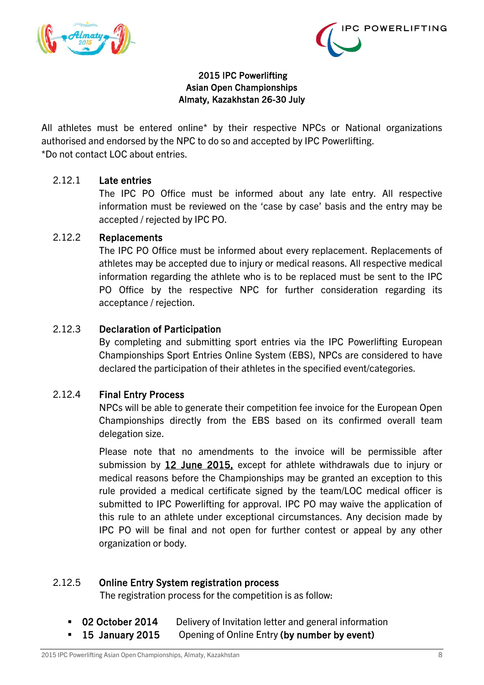



All athletes must be entered online\* by their respective NPCs or National organizations authorised and endorsed by the NPC to do so and accepted by IPC Powerlifting. \*Do not contact LOC about entries.

#### <span id="page-7-0"></span>2.12.1 Late entries

The IPC PO Office must be informed about any late entry. All respective information must be reviewed on the 'case by case' basis and the entry may be accepted / rejected by IPC PO.

#### <span id="page-7-1"></span>2.12.2 Replacements

The IPC PO Office must be informed about every replacement. Replacements of athletes may be accepted due to injury or medical reasons. All respective medical information regarding the athlete who is to be replaced must be sent to the IPC PO Office by the respective NPC for further consideration regarding its acceptance / rejection.

#### <span id="page-7-2"></span>2.12.3 Declaration of Participation

By completing and submitting sport entries via the IPC Powerlifting European Championships Sport Entries Online System (EBS), NPCs are considered to have declared the participation of their athletes in the specified event/categories.

#### <span id="page-7-3"></span>2.12.4 Final Entry Process

NPCs will be able to generate their competition fee invoice for the European Open Championships directly from the EBS based on its confirmed overall team delegation size.

Please note that no amendments to the invoice will be permissible after submission by 12 June 2015, except for athlete withdrawals due to injury or medical reasons before the Championships may be granted an exception to this rule provided a medical certificate signed by the team/LOC medical officer is submitted to IPC Powerlifting for approval. IPC PO may waive the application of this rule to an athlete under exceptional circumstances. Any decision made by IPC PO will be final and not open for further contest or appeal by any other organization or body.

#### <span id="page-7-4"></span>2.12.5 Online Entry System registration process

The registration process for the competition is as follow:

- 02 October 2014 Delivery of Invitation letter and general information
- **15 January 2015** Opening of Online Entry (by number by event)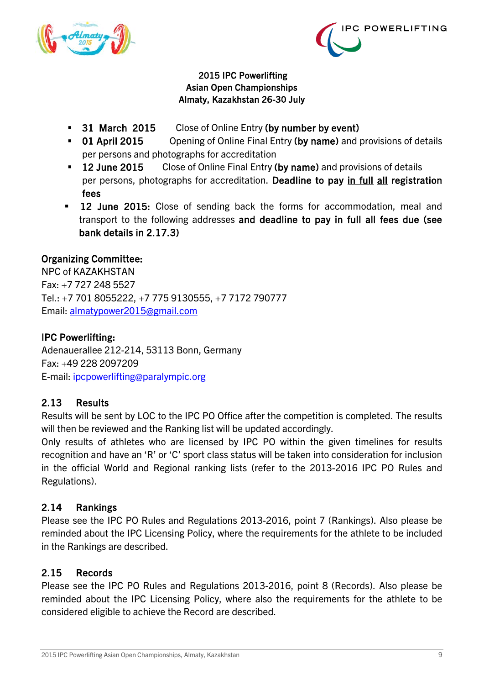



- 31 March 2015 Close of Online Entry (by number by event)
- 01 April 2015 Opening of Online Final Entry (by name) and provisions of details per persons and photographs for accreditation
- **12 June 2015** Close of Online Final Entry (by name) and provisions of details per persons, photographs for accreditation. Deadline to pay in full all registration fees
- **12 June 2015:** Close of sending back the forms for accommodation, meal and transport to the following addresses and deadline to pay in full all fees due (see bank details in 2.17.3)

## Organizing Committee:

NPC of KAZAKHSTAN Fax: +7 727 248 5527 Tel.: +7 701 8055222, +7 775 9130555, +7 7172 790777 Email: [almatypower2015@gmail.com](mailto:almatypower2015@gmail.com)

## IPC Powerlifting:

Adenauerallee 212-214, 53113 Bonn, Germany Fax: +49 228 2097209 E-mail: ipcpowerlifting@paralympic.org

## <span id="page-8-0"></span>2.13 Results

Results will be sent by LOC to the IPC PO Office after the competition is completed. The results will then be reviewed and the Ranking list will be updated accordingly.

Only results of athletes who are licensed by IPC PO within the given timelines for results recognition and have an 'R' or 'C' sport class status will be taken into consideration for inclusion in the official World and Regional ranking lists (refer to the 2013-2016 IPC PO Rules and Regulations).

## <span id="page-8-1"></span>2.14 Rankings

Please see the IPC PO Rules and Regulations 2013-2016, point 7 (Rankings). Also please be reminded about the IPC Licensing Policy, where the requirements for the athlete to be included in the Rankings are described.

## <span id="page-8-2"></span>2.15 Records

Please see the IPC PO Rules and Regulations 2013-2016, point 8 (Records). Also please be reminded about the IPC Licensing Policy, where also the requirements for the athlete to be considered eligible to achieve the Record are described.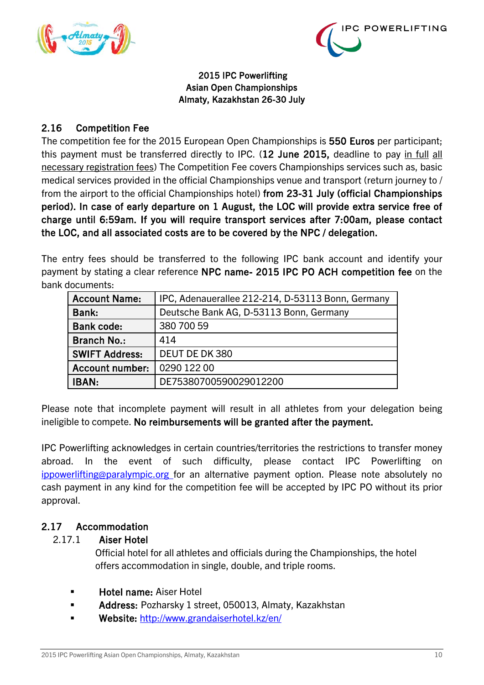



## <span id="page-9-0"></span>2.16 Competition Fee

The competition fee for the 2015 European Open Championships is 550 Euros per participant; this payment must be transferred directly to IPC. (12 June 2015, deadline to pay in full all necessary registration fees) The Competition Fee covers Championships services such as, basic medical services provided in the official Championships venue and transport (return journey to / from the airport to the official Championships hotel) from 23-31 July (official Championships period). In case of early departure on 1 August, the LOC will provide extra service free of charge until 6:59am. If you will require transport services after 7:00am, please contact the LOC, and all associated costs are to be covered by the NPC / delegation.

The entry fees should be transferred to the following IPC bank account and identify your payment by stating a clear reference NPC name- 2015 IPC PO ACH competition fee on the bank documents:

| <b>Account Name:</b>   | IPC, Adenauerallee 212-214, D-53113 Bonn, Germany |
|------------------------|---------------------------------------------------|
| Bank:                  | Deutsche Bank AG, D-53113 Bonn, Germany           |
| <b>Bank code:</b>      | 380 700 59                                        |
| <b>Branch No.:</b>     | 414                                               |
| <b>SWIFT Address:</b>  | DEUT DE DK 380                                    |
| <b>Account number:</b> | 0290 122 00                                       |
| <b>IBAN:</b>           | DE75380700590029012200                            |

Please note that incomplete payment will result in all athletes from your delegation being ineligible to compete. No reimbursements will be granted after the payment.

IPC Powerlifting acknowledges in certain countries/territories the restrictions to transfer money abroad. In the event of such difficulty, please contact IPC Powerlifting on ippowerlifting@paralympic.org for an alternative payment option. Please note absolutely no cash payment in any kind for the competition fee will be accepted by IPC PO without its prior approval.

## <span id="page-9-2"></span><span id="page-9-1"></span>2.17 Accommodation

## 2.17.1 Aiser Hotel

 Official hotel for all athletes and officials during the Championships, the hotel offers accommodation in single, double, and triple rooms.

- Hotel name: Aiser Hotel
- Address: Pozharsky 1 street, 050013, Almaty, Kazakhstan
- **Website: <http://www.grandaiserhotel.kz/en/>**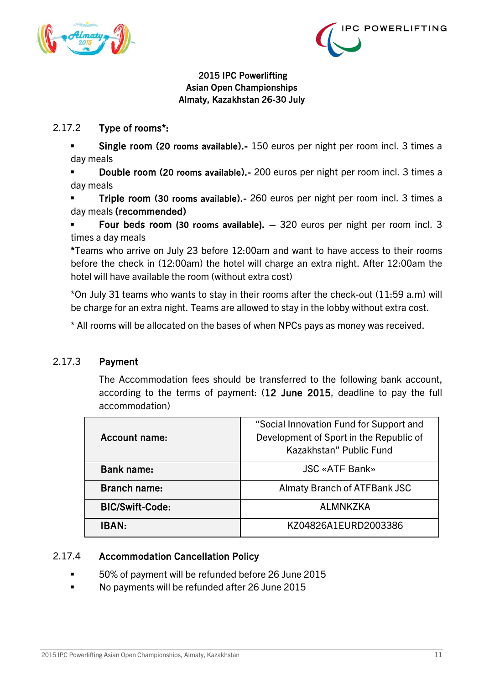



## <span id="page-10-0"></span>2.17.2 Type of rooms\*:

 Single room (20 rooms available).- 150 euros per night per room incl. 3 times a day meals

 Double room (20 rooms available).- 200 euros per night per room incl. 3 times a day meals

 Triple room (30 rooms available).- 260 euros per night per room incl. 3 times a day meals (recommended)

 Four beds room **(30 rooms available)**. – 320 euros per night per room incl. 3 times a day meals

\*Teams who arrive on July 23 before 12:00am and want to have access to their rooms before the check in (12:00am) the hotel will charge an extra night. After 12:00am the hotel will have available the room (without extra cost)

\*On July 31 teams who wants to stay in their rooms after the check-out (11:59 a.m) will be charge for an extra night. Teams are allowed to stay in the lobby without extra cost.

\* All rooms will be allocated on the bases of when NPCs pays as money was received.

#### <span id="page-10-1"></span>2.17.3 Payment

The Accommodation fees should be transferred to the following bank account, according to the terms of payment: (12 June 2015, deadline to pay the full accommodation)

| Account name:          | "Social Innovation Fund for Support and<br>Development of Sport in the Republic of<br>Kazakhstan" Public Fund |
|------------------------|---------------------------------------------------------------------------------------------------------------|
| <b>Bank name:</b>      | <b>JSC «ATF Bank»</b>                                                                                         |
| <b>Branch name:</b>    | <b>Almaty Branch of ATFBank JSC</b>                                                                           |
| <b>BIC/Swift-Code:</b> | <b>ALMNKZKA</b>                                                                                               |
| <b>IBAN:</b>           | KZ04826A1EURD2003386                                                                                          |

#### <span id="page-10-2"></span>2.17.4 Accommodation Cancellation Policy

- 50% of payment will be refunded before 26 June 2015
- No payments will be refunded after 26 June 2015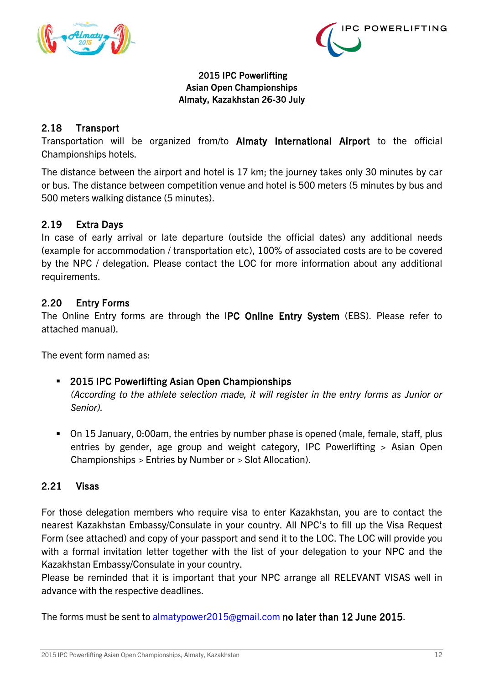



## <span id="page-11-0"></span>2.18 Transport

Transportation will be organized from/to Almaty International Airport to the official Championships hotels.

The distance between the airport and hotel is 17 km; the journey takes only 30 minutes by car or bus. The distance between competition venue and hotel is 500 meters (5 minutes by bus and 500 meters walking distance (5 minutes).

## <span id="page-11-1"></span>2.19 Extra Days

In case of early arrival or late departure (outside the official dates) any additional needs (example for accommodation / transportation etc), 100% of associated costs are to be covered by the NPC / delegation. Please contact the LOC for more information about any additional requirements.

#### <span id="page-11-2"></span>2.20 Entry Forms

The Online Entry forms are through the IPC Online Entry System (EBS). Please refer to attached manual).

The event form named as:

#### 2015 IPC Powerlifting Asian Open Championships

*(According to the athlete selection made, it will register in the entry forms as Junior or Senior).*

 On 15 January, 0:00am, the entries by number phase is opened (male, female, staff, plus entries by gender, age group and weight category, IPC Powerlifting > Asian Open Championships > Entries by Number or > Slot Allocation).

#### <span id="page-11-3"></span>2.21 Visas

For those delegation members who require visa to enter Kazakhstan, you are to contact the nearest Kazakhstan Embassy/Consulate in your country. All NPC's to fill up the Visa Request Form (see attached) and copy of your passport and send it to the LOC. The LOC will provide you with a formal invitation letter together with the list of your delegation to your NPC and the Kazakhstan Embassy/Consulate in your country.

Please be reminded that it is important that your NPC arrange all RELEVANT VISAS well in advance with the respective deadlines.

The forms must be sent to almatypower2015@gmail.com no later than 12 June 2015.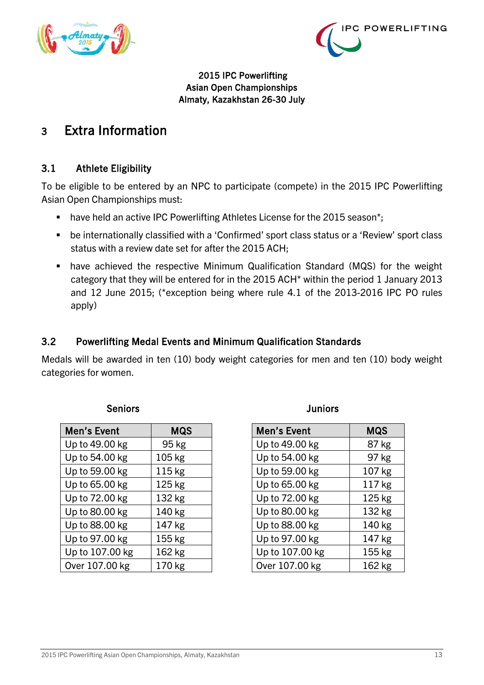



# <span id="page-12-0"></span>3 Extra Information

## <span id="page-12-1"></span>3.1 Athlete Eligibility

To be eligible to be entered by an NPC to participate (compete) in the 2015 IPC Powerlifting Asian Open Championships must:

- have held an active IPC Powerlifting Athletes License for the 2015 season\*;
- be internationally classified with a 'Confirmed' sport class status or a 'Review' sport class status with a review date set for after the 2015 ACH;
- have achieved the respective Minimum Qualification Standard (MQS) for the weight category that they will be entered for in the 2015 ACH\* within the period 1 January 2013 and 12 June 2015; (\*exception being where rule 4.1 of the 2013-2016 IPC PO rules apply)

## <span id="page-12-2"></span>3.2 Powerlifting Medal Events and Minimum Qualification Standards

Medals will be awarded in ten (10) body weight categories for men and ten (10) body weight categories for women.

#### **Seniors Seniors Seniors Seniors Seniors Juniors**

| Men's Event     | <b>MQS</b> |
|-----------------|------------|
| Up to 49.00 kg  | 95 kg      |
| Up to 54.00 kg  | 105 kg     |
| Up to 59.00 kg  | 115 kg     |
| Up to 65.00 kg  | 125 kg     |
| Up to 72.00 kg  | 132 kg     |
| Up to 80.00 kg  | 140 kg     |
| Up to 88.00 kg  | 147 kg     |
| Up to 97.00 kg  | 155 kg     |
| Up to 107.00 kg | 162 kg     |
| Over 107.00 kg  | 170 kg     |

| Men's Event     | <b>MQS</b> |
|-----------------|------------|
| Up to 49.00 kg  | 87 kg      |
| Up to 54.00 kg  | 97 kg      |
| Up to 59.00 kg  | 107 kg     |
| Up to 65.00 kg  | 117 kg     |
| Up to 72.00 kg  | 125 kg     |
| Up to 80.00 kg  | 132 kg     |
| Up to 88.00 kg  | 140 kg     |
| Up to 97.00 kg  | 147 kg     |
| Up to 107.00 kg | 155 kg     |
| Over 107.00 kg  | 162 kg     |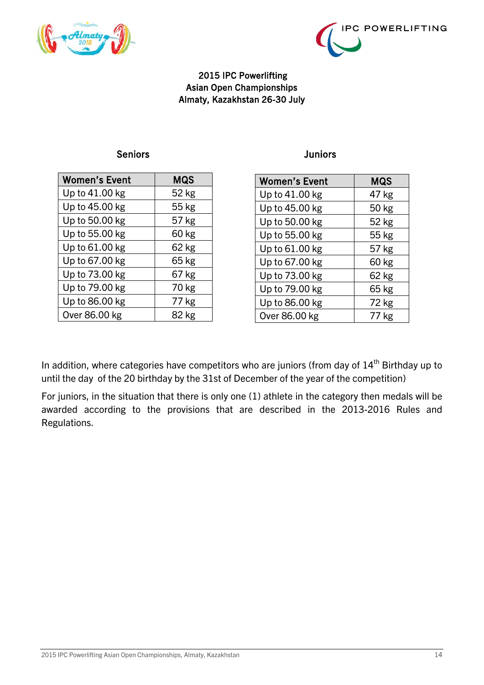



#### Seniors **Seniors Juniors**

| <b>Women's Event</b> | MQS   |
|----------------------|-------|
| Up to 41.00 kg       | 52 kg |
| Up to 45.00 kg       | 55 kg |
| Up to 50.00 kg       | 57 kg |
| Up to 55.00 kg       | 60 kg |
| Up to 61.00 kg       | 62 kg |
| Up to 67.00 kg       | 65 kg |
| Up to 73.00 kg       | 67 kg |
| Up to 79.00 kg       | 70 kg |
| Up to 86.00 kg       | 77 kg |
| Over 86.00 kg        | 82 kg |

| <b>Women's Event</b> | <b>MQS</b> |
|----------------------|------------|
| Up to 41.00 kg       | 47 kg      |
| Up to 45.00 kg       | 50 kg      |
| Up to 50.00 kg       | 52 kg      |
| Up to 55.00 kg       | 55 kg      |
| Up to 61.00 kg       | 57 kg      |
| Up to 67.00 kg       | 60 kg      |
| Up to 73.00 kg       | 62 kg      |
| Up to 79.00 kg       | 65 kg      |
| Up to 86.00 kg       | 72 kg      |
| Over 86.00 kg        | 77 kg      |

In addition, where categories have competitors who are juniors (from day of  $14<sup>th</sup>$  Birthday up to until the day of the 20 birthday by the 31st of December of the year of the competition)

For juniors, in the situation that there is only one (1) athlete in the category then medals will be awarded according to the provisions that are described in the 2013-2016 Rules and Regulations.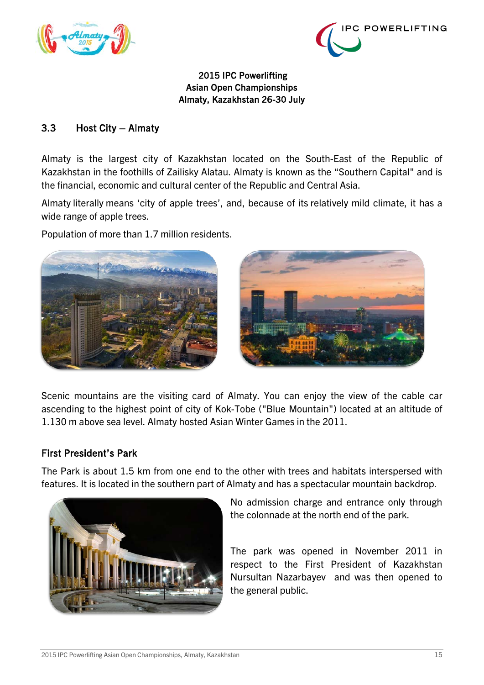



## <span id="page-14-0"></span>3.3 Host City – Almaty

Almaty is the largest city of Kazakhstan located on the South-East of the Republic of Kazakhstan in the foothills of Zailisky Alatau. Almaty is known as the "Southern Capital" and is the financial, economic and cultural center of the Republic and Central Asia.

Almaty literally means 'city of apple trees', and, because of its relatively mild climate, it has a wide range of apple trees.

Population of more than 1.7 million residents.



Scenic mountains are the visiting card of Almaty. You can enjoy the view of the cable car ascending to the highest point of city of Kok-Tobe ("Blue Mountain") located at an altitude of 1.130 m above sea level. Almaty hosted Asian Winter Games in the 2011.

## First President's Park

The Park is about 1.5 km from one end to the other with trees and habitats interspersed with features. It is located in the southern part of Almaty and has a spectacular mountain backdrop.



No admission charge and entrance only through the colonnade at the north end of the park.

The park was opened in November 2011 in respect to the First President of Kazakhstan Nursultan Nazarbayev and was then opened to the general public.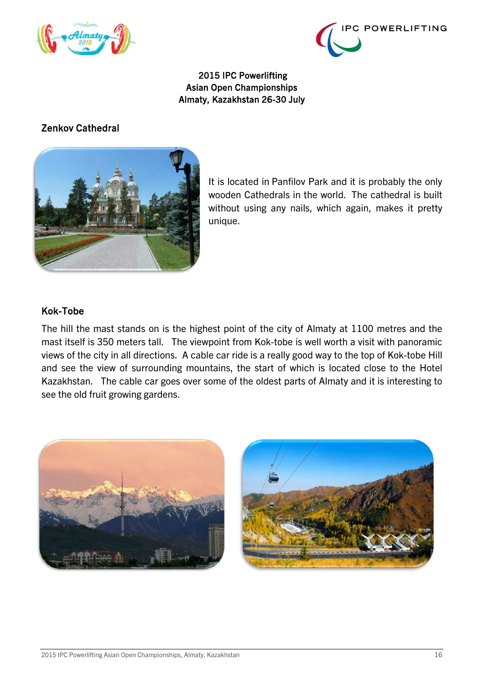



## Zenkov Cathedral



It is located in [Panfilov Park](http://www.almaty-kazakhstan.net/attractions/parks/panfilov-park/) and it is probably the only wooden Cathedrals in the world. The cathedral is built without using any nails, which again, makes it pretty unique.

#### Kok-Tobe

The hill the mast stands on is the highest point of the city of Almaty at 1100 metres and the mast itself is 350 meters tall. The viewpoint from Kok-tobe is well worth a visit with panoramic views of the city in all directions. A cable car ride is a really good way to the top of Kok-tobe Hill and see the view of surrounding mountains, the start of which is located close to the Hotel Kazakhstan. The cable car goes over some of the oldest parts of Almaty and it is interesting to see the old fruit growing gardens.

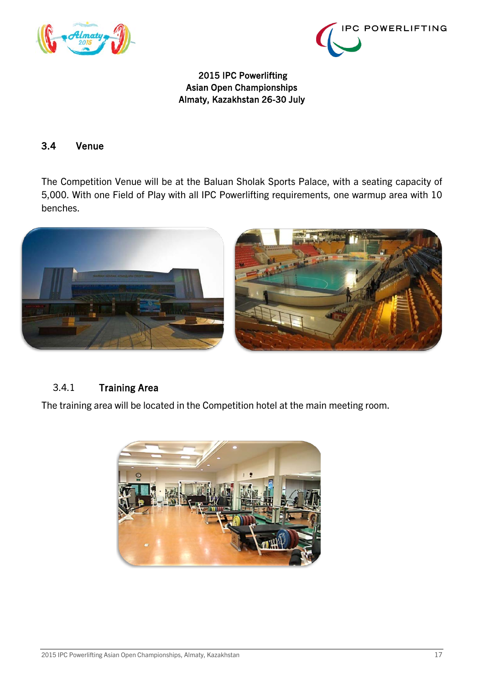



### <span id="page-16-0"></span>3.4 Venue

The Competition Venue will be at the Baluan Sholak Sports Palace, with a seating capacity of 5,000. With one Field of Play with all IPC Powerlifting requirements, one warmup area with 10 benches.



## <span id="page-16-1"></span>3.4.1 Training Area

The training area will be located in the Competition hotel at the main meeting room.

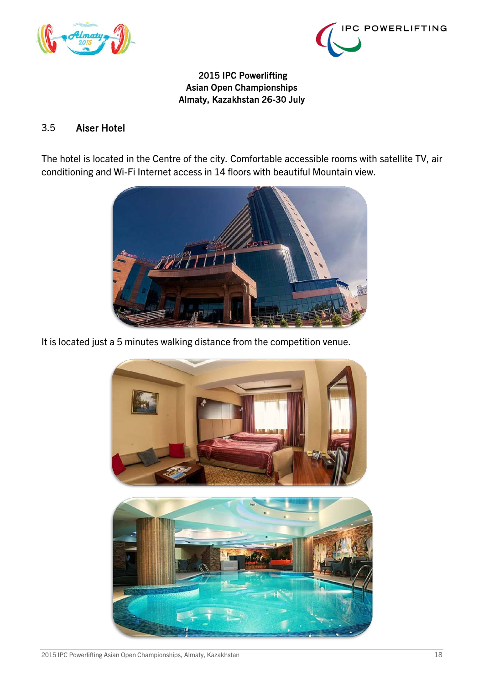



### <span id="page-17-0"></span>3.5 Aiser Hotel

The hotel is located in the Centre of the city. Comfortable accessible rooms with satellite TV, air conditioning and Wi-Fi Internet access in 14 floors with beautiful Mountain view.



It is located just a 5 minutes walking distance from the competition venue.